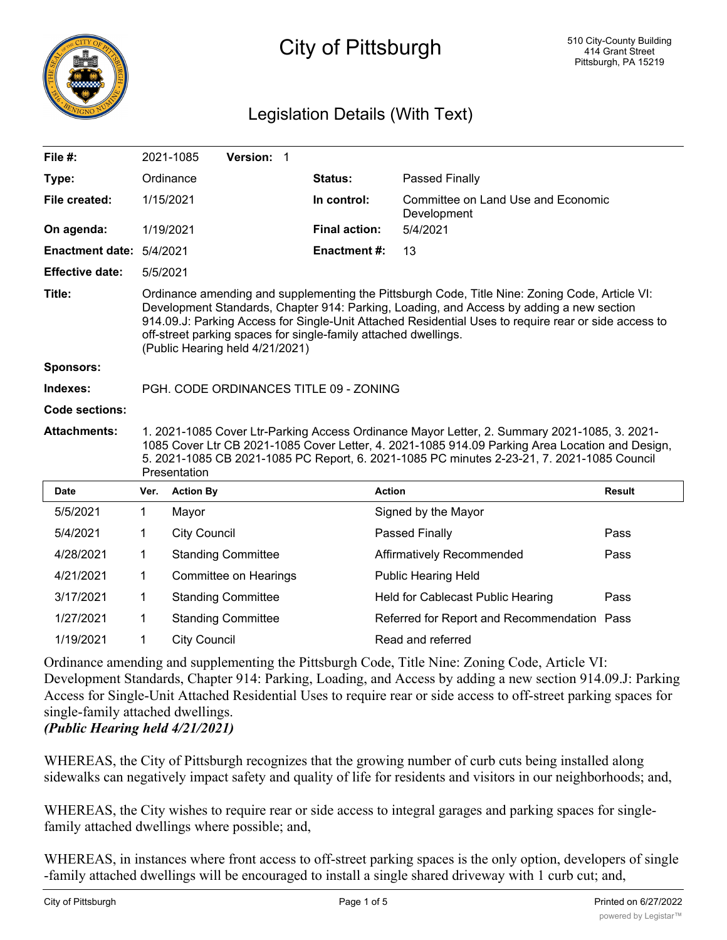

# City of Pittsburgh

# Legislation Details (With Text)

| File #:                  |                                                                                                                                                                                                                                                                                                               | 2021-1085<br>Version: 1                                                                                                                                                                                                                                                                                                                                                                                  |  |                      |                                                   |               |  |  |  |  |  |  |
|--------------------------|---------------------------------------------------------------------------------------------------------------------------------------------------------------------------------------------------------------------------------------------------------------------------------------------------------------|----------------------------------------------------------------------------------------------------------------------------------------------------------------------------------------------------------------------------------------------------------------------------------------------------------------------------------------------------------------------------------------------------------|--|----------------------|---------------------------------------------------|---------------|--|--|--|--|--|--|
| Type:                    |                                                                                                                                                                                                                                                                                                               | Ordinance                                                                                                                                                                                                                                                                                                                                                                                                |  | <b>Status:</b>       | <b>Passed Finally</b>                             |               |  |  |  |  |  |  |
| File created:            |                                                                                                                                                                                                                                                                                                               | 1/15/2021                                                                                                                                                                                                                                                                                                                                                                                                |  | In control:          | Committee on Land Use and Economic<br>Development |               |  |  |  |  |  |  |
| On agenda:               |                                                                                                                                                                                                                                                                                                               | 1/19/2021                                                                                                                                                                                                                                                                                                                                                                                                |  | <b>Final action:</b> | 5/4/2021                                          |               |  |  |  |  |  |  |
| Enactment date: 5/4/2021 |                                                                                                                                                                                                                                                                                                               |                                                                                                                                                                                                                                                                                                                                                                                                          |  | <b>Enactment#:</b>   | 13                                                |               |  |  |  |  |  |  |
| <b>Effective date:</b>   | 5/5/2021                                                                                                                                                                                                                                                                                                      |                                                                                                                                                                                                                                                                                                                                                                                                          |  |                      |                                                   |               |  |  |  |  |  |  |
| Title:                   |                                                                                                                                                                                                                                                                                                               | Ordinance amending and supplementing the Pittsburgh Code, Title Nine: Zoning Code, Article VI:<br>Development Standards, Chapter 914: Parking, Loading, and Access by adding a new section<br>914.09.J: Parking Access for Single-Unit Attached Residential Uses to require rear or side access to<br>off-street parking spaces for single-family attached dwellings.<br>(Public Hearing held 4/21/2021) |  |                      |                                                   |               |  |  |  |  |  |  |
| <b>Sponsors:</b>         |                                                                                                                                                                                                                                                                                                               |                                                                                                                                                                                                                                                                                                                                                                                                          |  |                      |                                                   |               |  |  |  |  |  |  |
| Indexes:                 | PGH, CODE ORDINANCES TITLE 09 - ZONING                                                                                                                                                                                                                                                                        |                                                                                                                                                                                                                                                                                                                                                                                                          |  |                      |                                                   |               |  |  |  |  |  |  |
| <b>Code sections:</b>    |                                                                                                                                                                                                                                                                                                               |                                                                                                                                                                                                                                                                                                                                                                                                          |  |                      |                                                   |               |  |  |  |  |  |  |
| <b>Attachments:</b>      | 1. 2021-1085 Cover Ltr-Parking Access Ordinance Mayor Letter, 2. Summary 2021-1085, 3. 2021-<br>1085 Cover Ltr CB 2021-1085 Cover Letter, 4. 2021-1085 914.09 Parking Area Location and Design,<br>5. 2021-1085 CB 2021-1085 PC Report, 6. 2021-1085 PC minutes 2-23-21, 7. 2021-1085 Council<br>Presentation |                                                                                                                                                                                                                                                                                                                                                                                                          |  |                      |                                                   |               |  |  |  |  |  |  |
| <b>Date</b>              | Ver.                                                                                                                                                                                                                                                                                                          | <b>Action By</b>                                                                                                                                                                                                                                                                                                                                                                                         |  |                      | <b>Action</b>                                     | <b>Result</b> |  |  |  |  |  |  |
| 5/5/2021                 | 1                                                                                                                                                                                                                                                                                                             | Mayor                                                                                                                                                                                                                                                                                                                                                                                                    |  |                      | Signed by the Mayor                               |               |  |  |  |  |  |  |
| 5/4/2021                 | 1                                                                                                                                                                                                                                                                                                             | <b>City Council</b>                                                                                                                                                                                                                                                                                                                                                                                      |  |                      | Passed Finally                                    | Pass          |  |  |  |  |  |  |
| 4/28/2021                | 1                                                                                                                                                                                                                                                                                                             | <b>Standing Committee</b>                                                                                                                                                                                                                                                                                                                                                                                |  |                      | Affirmatively Recommended                         | Pass          |  |  |  |  |  |  |
| 4/21/2021                | 1                                                                                                                                                                                                                                                                                                             | Committee on Hearings                                                                                                                                                                                                                                                                                                                                                                                    |  |                      | <b>Public Hearing Held</b>                        |               |  |  |  |  |  |  |
| 3/17/2021                | 1                                                                                                                                                                                                                                                                                                             | <b>Standing Committee</b>                                                                                                                                                                                                                                                                                                                                                                                |  |                      | Held for Cablecast Public Hearing                 | Pass          |  |  |  |  |  |  |
| 1/27/2021                | 1                                                                                                                                                                                                                                                                                                             | <b>Standing Committee</b>                                                                                                                                                                                                                                                                                                                                                                                |  |                      | Referred for Report and Recommendation Pass       |               |  |  |  |  |  |  |

Ordinance amending and supplementing the Pittsburgh Code, Title Nine: Zoning Code, Article VI: Development Standards, Chapter 914: Parking, Loading, and Access by adding a new section 914.09.J: Parking Access for Single-Unit Attached Residential Uses to require rear or side access to off-street parking spaces for single-family attached dwellings.

1/19/2021 1 City Council 2008 Council Read and referred

## *(Public Hearing held 4/21/2021)*

WHEREAS, the City of Pittsburgh recognizes that the growing number of curb cuts being installed along sidewalks can negatively impact safety and quality of life for residents and visitors in our neighborhoods; and,

WHEREAS, the City wishes to require rear or side access to integral garages and parking spaces for singlefamily attached dwellings where possible; and,

WHEREAS, in instances where front access to off-street parking spaces is the only option, developers of single -family attached dwellings will be encouraged to install a single shared driveway with 1 curb cut; and,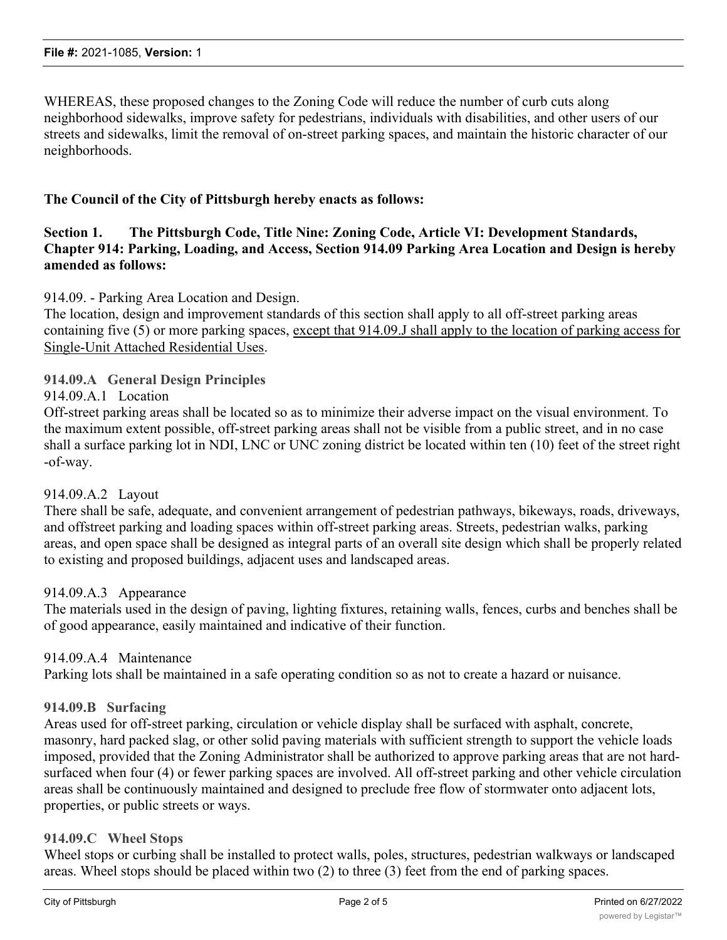WHEREAS, these proposed changes to the Zoning Code will reduce the number of curb cuts along neighborhood sidewalks, improve safety for pedestrians, individuals with disabilities, and other users of our streets and sidewalks, limit the removal of on-street parking spaces, and maintain the historic character of our neighborhoods.

#### **The Council of the City of Pittsburgh hereby enacts as follows:**

#### **Section 1. The Pittsburgh Code, Title Nine: Zoning Code, Article VI: Development Standards, Chapter 914: Parking, Loading, and Access, Section 914.09 Parking Area Location and Design is hereby amended as follows:**

914.09. - Parking Area Location and Design.

The location, design and improvement standards of this section shall apply to all off-street parking areas containing five (5) or more parking spaces, except that 914.09.J shall apply to the location of parking access for Single-Unit Attached Residential Uses.

#### **914.09.A General Design Principles**

#### 914.09.A.1 Location

Off-street parking areas shall be located so as to minimize their adverse impact on the visual environment. To the maximum extent possible, off-street parking areas shall not be visible from a public street, and in no case shall a surface parking lot in NDI, LNC or UNC zoning district be located within ten (10) feet of the street right -of-way.

#### 914.09.A.2 Layout

There shall be safe, adequate, and convenient arrangement of pedestrian pathways, bikeways, roads, driveways, and offstreet parking and loading spaces within off-street parking areas. Streets, pedestrian walks, parking areas, and open space shall be designed as integral parts of an overall site design which shall be properly related to existing and proposed buildings, adjacent uses and landscaped areas.

#### 914.09.A.3 Appearance

The materials used in the design of paving, lighting fixtures, retaining walls, fences, curbs and benches shall be of good appearance, easily maintained and indicative of their function.

#### 914.09.A.4 Maintenance

Parking lots shall be maintained in a safe operating condition so as not to create a hazard or nuisance.

#### **914.09.B Surfacing**

Areas used for off-street parking, circulation or vehicle display shall be surfaced with asphalt, concrete, masonry, hard packed slag, or other solid paving materials with sufficient strength to support the vehicle loads imposed, provided that the Zoning Administrator shall be authorized to approve parking areas that are not hardsurfaced when four (4) or fewer parking spaces are involved. All off-street parking and other vehicle circulation areas shall be continuously maintained and designed to preclude free flow of stormwater onto adjacent lots, properties, or public streets or ways.

#### **914.09.C Wheel Stops**

Wheel stops or curbing shall be installed to protect walls, poles, structures, pedestrian walkways or landscaped areas. Wheel stops should be placed within two (2) to three (3) feet from the end of parking spaces.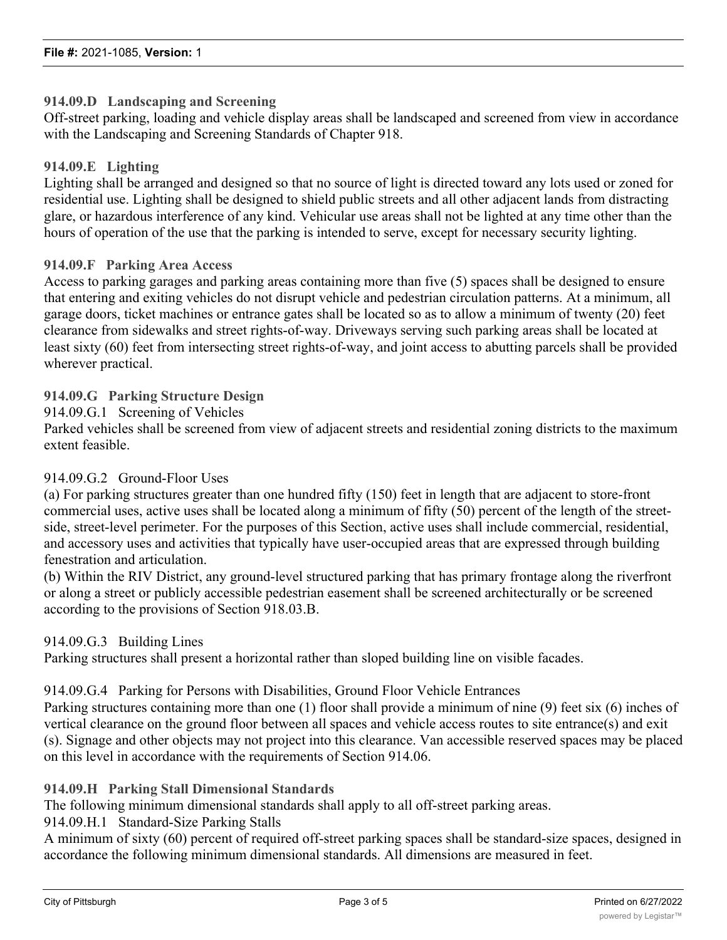#### **914.09.D Landscaping and Screening**

Off-street parking, loading and vehicle display areas shall be landscaped and screened from view in accordance with the Landscaping and Screening Standards of Chapter 918.

#### **914.09.E Lighting**

Lighting shall be arranged and designed so that no source of light is directed toward any lots used or zoned for residential use. Lighting shall be designed to shield public streets and all other adjacent lands from distracting glare, or hazardous interference of any kind. Vehicular use areas shall not be lighted at any time other than the hours of operation of the use that the parking is intended to serve, except for necessary security lighting.

#### **914.09.F Parking Area Access**

Access to parking garages and parking areas containing more than five (5) spaces shall be designed to ensure that entering and exiting vehicles do not disrupt vehicle and pedestrian circulation patterns. At a minimum, all garage doors, ticket machines or entrance gates shall be located so as to allow a minimum of twenty (20) feet clearance from sidewalks and street rights-of-way. Driveways serving such parking areas shall be located at least sixty (60) feet from intersecting street rights-of-way, and joint access to abutting parcels shall be provided wherever practical.

#### **914.09.G Parking Structure Design**

914.09.G.1 Screening of Vehicles

Parked vehicles shall be screened from view of adjacent streets and residential zoning districts to the maximum extent feasible.

#### 914.09.G.2 Ground-Floor Uses

(a) For parking structures greater than one hundred fifty (150) feet in length that are adjacent to store-front commercial uses, active uses shall be located along a minimum of fifty (50) percent of the length of the streetside, street-level perimeter. For the purposes of this Section, active uses shall include commercial, residential, and accessory uses and activities that typically have user-occupied areas that are expressed through building fenestration and articulation.

(b) Within the RIV District, any ground-level structured parking that has primary frontage along the riverfront or along a street or publicly accessible pedestrian easement shall be screened architecturally or be screened according to the provisions of Section 918.03.B.

#### 914.09.G.3 Building Lines

Parking structures shall present a horizontal rather than sloped building line on visible facades.

#### 914.09.G.4 Parking for Persons with Disabilities, Ground Floor Vehicle Entrances

Parking structures containing more than one (1) floor shall provide a minimum of nine (9) feet six (6) inches of vertical clearance on the ground floor between all spaces and vehicle access routes to site entrance(s) and exit (s). Signage and other objects may not project into this clearance. Van accessible reserved spaces may be placed on this level in accordance with the requirements of Section 914.06.

#### **914.09.H Parking Stall Dimensional Standards**

The following minimum dimensional standards shall apply to all off-street parking areas.

914.09.H.1 Standard-Size Parking Stalls

A minimum of sixty (60) percent of required off-street parking spaces shall be standard-size spaces, designed in accordance the following minimum dimensional standards. All dimensions are measured in feet.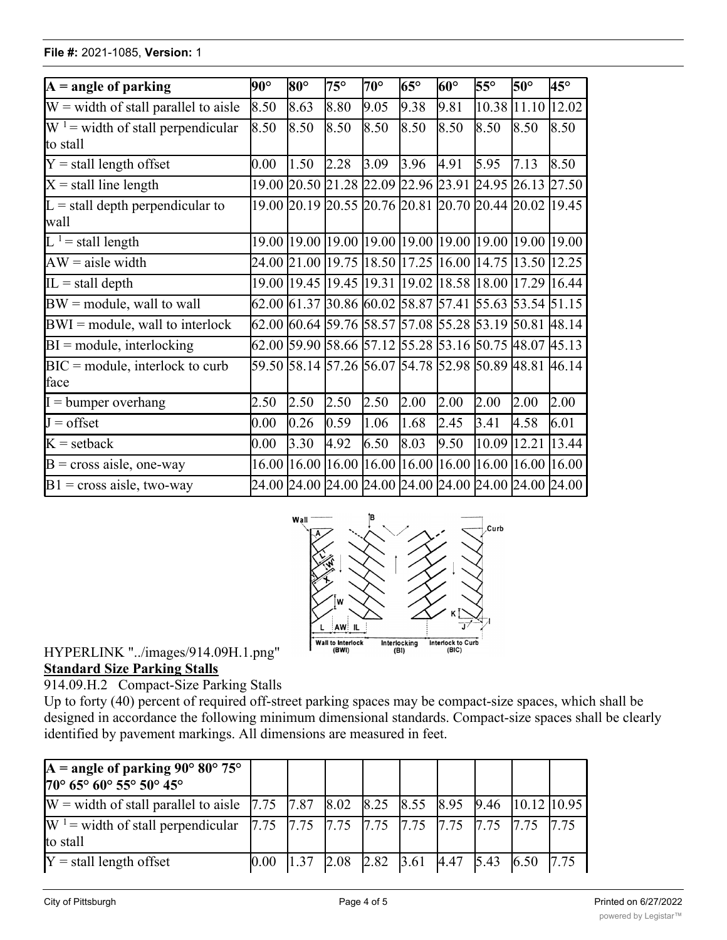#### **File #:** 2021-1085, **Version:** 1

| $A = angle of parking$                         | $90^{\circ}$ | $80^\circ$ | $75^{\circ}$ | $70^{\circ}$ | $65^{\circ}$ | $60^{\circ}$ | $55^{\circ}$                                          | $50^\circ$  | $45^{\circ}$ |
|------------------------------------------------|--------------|------------|--------------|--------------|--------------|--------------|-------------------------------------------------------|-------------|--------------|
| $W =$ width of stall parallel to aisle<br>8.50 |              | 8.63       | 8.80         | 9.05         | 9.38         | 9.81         |                                                       | 10.38 11.10 | 12.02        |
| $W1$ = width of stall perpendicular            |              | 8.50       | 8.50         | 8.50         | 8.50         | 8.50         | 8.50                                                  | 8.50        | 8.50         |
| to stall                                       |              |            |              |              |              |              |                                                       |             |              |
| $Y =$ stall length offset                      |              | 1.50       | 2.28         | 3.09         | 3.96         | 4.91         | 5.95                                                  | 7.13        | 8.50         |
| $X =$ stall line length                        | 19.00        |            |              |              |              |              | 20.50 21.28 22.09 22.96 23.91 24.95 26.13             |             | 27.50        |
| $L =$ stall depth perpendicular to             |              |            |              |              |              |              | 19.00 20.19 20.55 20.76 20.81 20.70 20.44 20.02       |             | 19.45        |
| wall                                           |              |            |              |              |              |              |                                                       |             |              |
| $L1$ = stall length                            | 19.00        |            |              |              |              |              | 19.00 19.00 19.00 19.00 19.00 19.00 19.00             |             | 19.00        |
| $AW = aisle width$                             |              |            |              |              |              |              | 24.00 21.00 19.75 18.50 17.25 16.00 14.75 13.50 12.25 |             |              |
| $IL = stall$ depth                             | 19.00        | 19.45      |              |              |              |              | 19.45  19.31  19.02  18.58  18.00  17.29              |             | 16.44        |
| $BW = module$ , wall to wall                   | 62.00        | 61.37      | 30.86 60.02  |              | 58.87 57.41  |              | 55.63 53.54 51.15                                     |             |              |
| $BWI = module$ , wall to interlock             |              |            |              |              |              |              | 62.00 60.64 59.76 58.57 57.08 55.28 53.19 50.81 48.14 |             |              |
| $BI = module$ , interlocking                   |              |            |              |              |              |              | 62.00 59.90 58.66 57.12 55.28 53.16 50.75 48.07 45.13 |             |              |
| $BIC = module$ , interlock to curb             |              |            |              |              |              |              | 59.50 58.14 57.26 56.07 54.78 52.98 50.89 48.81 46.14 |             |              |
| face                                           |              |            |              |              |              |              |                                                       |             |              |
| $I =$ bumper overhang                          | 2.50         | 2.50       | 2.50         | 2.50         | 2.00         | 2.00         | 2.00                                                  | 2.00        | 2.00         |
| $J =$ offset                                   | 0.00         | 0.26       | 0.59         | 1.06         | 1.68         | 2.45         | 3.41                                                  | 4.58        | 6.01         |
| $K = setback$                                  | 0.00         | 3.30       | 4.92         | 6.50         | 8.03         | 9.50         | 10.09 12.21                                           |             | 13.44        |
| $B = cross$ aisle, one-way                     | 16.00        | 16.00      | 16.00 16.00  |              | 16.00        | 16.00        | 16.00 16.00                                           |             | 16.00        |
| $B1$ = cross aisle, two-way                    |              |            |              |              |              |              | 24.00 24.00 24.00 24.00 24.00 24.00 24.00 24.00 24.00 |             |              |



### HYPERLINK "../images/914.09H.1.png" **Standard Size Parking Stalls**

914.09.H.2 Compact-Size Parking Stalls

Up to forty (40) percent of required off-street parking spaces may be compact-size spaces, which shall be designed in accordance the following minimum dimensional standards. Compact-size spaces shall be clearly identified by pavement markings. All dimensions are measured in feet.

| $A = angle of parking 90^{\circ} 80^{\circ} 75^{\circ}$<br>$70^{\circ}$ 65° 60° 55° 50° 45°                    |  |  |  |  |                                                                                               |
|----------------------------------------------------------------------------------------------------------------|--|--|--|--|-----------------------------------------------------------------------------------------------|
| $W =$ width of stall parallel to aisle   7.75   7.87   8.02   8.25   8.55   8.95   9.46   10.12   10.95        |  |  |  |  |                                                                                               |
| $W_1$ = width of stall perpendicular [7.75 [7.75 [7.75 [7.75 [7.75 ] [7.75 [7.75 ] [7.75 ] [7.75 ]<br>to stall |  |  |  |  |                                                                                               |
| $Y =$ stall length offset                                                                                      |  |  |  |  | $\begin{bmatrix} 0.00 & 11.37 & 2.08 & 2.82 & 3.61 & 4.47 & 5.43 & 6.50 & 7.75 \end{bmatrix}$ |

X = stall line length 16.50 17.87 18.58 19.32 20.11 20.97 21.93 23.00 24.25